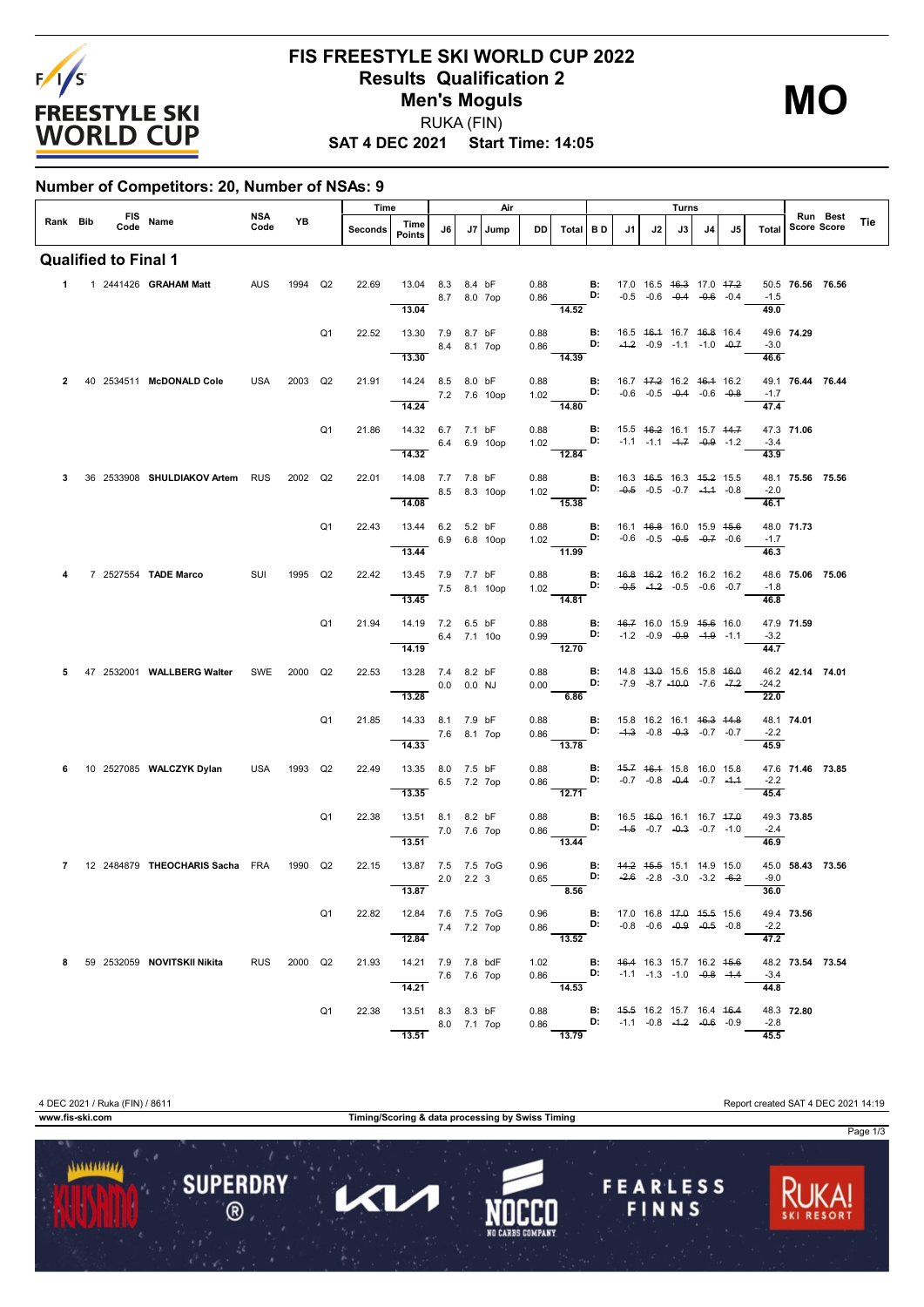

## **FIS FREESTYLE SKI WORLD CUP 2022 Results Qualification 2 Men's Moguls** RUKA (FIN)

**MO**

**SAT 4 DEC 2021 Start Time: 14:05**

## **Number of Competitors: 20, Number of NSAs: 9**

|          |                             |                                           |             |         | Time           |         | Air                                       |             |               |              |      |                                                                                                                                           | Turns                |                                                |                                                                |    |    |    |                             |                  |                                |     |
|----------|-----------------------------|-------------------------------------------|-------------|---------|----------------|---------|-------------------------------------------|-------------|---------------|--------------|------|-------------------------------------------------------------------------------------------------------------------------------------------|----------------------|------------------------------------------------|----------------------------------------------------------------|----|----|----|-----------------------------|------------------|--------------------------------|-----|
| Rank Bib |                             | FIS Name<br>Code Name                     | NSA<br>Code | YB      |                | Seconds | Time<br><b>Points</b>                     | J6          |               | J7   Jump    | DD   | Total BD                                                                                                                                  |                      | J1                                             | J2                                                             | J3 | J4 | J5 | <b>Total</b>                |                  | Run Best<br><b>Score Score</b> | Tie |
|          | <b>Qualified to Final 1</b> |                                           |             |         |                |         |                                           |             |               |              |      |                                                                                                                                           |                      |                                                |                                                                |    |    |    |                             |                  |                                |     |
|          |                             | 1  1  2441426  GRAHAM Matt                | <b>AUS</b>  | 1994    | Q2             | 22.69   | 13.04 8.3 8.4 bF<br>13.04                 |             | 8.7 8.0 7op   |              |      | 0.88 <b>B:</b> 17.0 16.5 <del>16.3</del> 17.0 <del>17.2</del><br>0.86 <b>D:</b> -0.5 -0.6 -0.4 -0.6 -0.4<br>$\overline{14.52}$            |                      |                                                |                                                                |    |    |    | $-1.5$<br>49.0              | 50.5 76.56 76.56 |                                |     |
|          |                             |                                           |             |         | Q <sub>1</sub> | 22.52   | 13.30 7.9 8.7 bF                          |             |               |              | 0.88 |                                                                                                                                           | $\blacksquare$       | 16.5 <del>16.1</del> 16.7 <del>16.8</del> 16.4 |                                                                |    |    |    |                             | 49.6 74.29       |                                |     |
|          |                             |                                           |             |         |                |         | 13.30                                     |             | 8.4 8.1 7op   |              |      | $0.86$ D:<br>$\frac{0.006}{14.39}$                                                                                                        |                      |                                                | $-4.2$ $-0.9$ $-1.1$ $-1.0$ $-0.7$                             |    |    |    | $-3.0$<br>46.6              |                  |                                |     |
|          |                             | 40 2534511 McDONALD Cole                  | USA         | 2003 Q2 |                | 21.91   | 14.24 8.5 8.0 bF                          |             |               | 7.2 7.6 10op | 0.88 | 1.02 <b>D:</b>                                                                                                                            | B:                   | 16.7 47.2 16.2 46.4 16.2                       | $-0.6$ $-0.5$ $-0.4$ $-0.6$ $-0.8$                             |    |    |    | $-1.7$                      | 49.1 76.44 76.44 |                                |     |
|          |                             |                                           |             |         |                |         | 14.24                                     |             |               |              |      | $-14.80$                                                                                                                                  |                      |                                                |                                                                |    |    |    | 47.4                        |                  |                                |     |
|          |                             |                                           |             |         | Q <sub>1</sub> | 21.86   | 14.32 6.7 7.1 bF<br>$-6.4$ 6.9 10op       |             |               |              | 0.88 |                                                                                                                                           | $\mathbf{B}$ :<br>D: | 15.5 46.2 16.1 15.7 44.7                       | $-1.1$ $-1.1$ $-4.7$ $-0.9$ $-1.2$                             |    |    |    | $-3.4$                      | 47.3 71.06       |                                |     |
|          |                             |                                           |             |         |                |         | 14.32                                     |             |               |              |      | 12.84                                                                                                                                     |                      |                                                |                                                                |    |    |    | 43.9                        |                  |                                |     |
|          |                             | 36 2533908 SHULDIAKOV Artem RUS           |             | 2002 Q2 |                | 22.01   | 14.08 7.7 7.8 bF<br>14.08                 |             |               | 8.5 8.3 10op | 0.88 | $1.02 \frac{D}{15.38}$ D:                                                                                                                 | <b>B:</b>            |                                                | 16.3 46.5 16.3 45.2 15.5<br>$-0.5$ $-0.5$ $-0.7$ $-4.4$ $-0.8$ |    |    |    | $-2.0$<br>46.1              | 48.1 75.56 75.56 |                                |     |
|          |                             |                                           |             |         | Q <sub>1</sub> | 22.43   | 13.44 6.2 5.2 bF                          |             |               |              |      |                                                                                                                                           |                      |                                                |                                                                |    |    |    |                             | 48.0 71.73       |                                |     |
|          |                             |                                           |             |         |                |         | 13.44                                     |             |               | 6.9 6.8 10op |      | 0.88 <b>B:</b> 16.1 <del>16.8</del> 16.0 15.9 <del>15.6</del><br>1.02 <b>D:</b> -0.6 -0.5 -0. <del>5</del> -0.7 -0.6<br>$\frac{1}{11.99}$ |                      |                                                |                                                                |    |    |    | $-1.7$<br>46.3              |                  |                                |     |
|          |                             | 7 2527554 TADE Marco                      | SUI         | 1995 Q2 |                | 22.42   | 13.45 7.9 7.7 bF                          |             |               | 7.5 8.1 10op |      | 0.88 B: 46.8 46.2 16.2 16.2 16.2<br>1.02 <b>D:</b>                                                                                        |                      |                                                | $-0.5$ $-1.2$ $-0.5$ $-0.6$ $-0.7$                             |    |    |    | $-1.8$                      | 48.6 75.06 75.06 |                                |     |
|          |                             |                                           |             |         |                |         | 13.45                                     |             |               |              |      | $\frac{102}{14.81}$                                                                                                                       |                      |                                                |                                                                |    |    |    | 46.8                        |                  |                                |     |
|          |                             |                                           |             |         | Q <sub>1</sub> | 21.94   | 14.19 7.2 6.5 bF                          |             | 6.4 7.1 10o   |              |      | 0.88 <b>B:</b> $46.7$ 16.0 15.9 $45.6$ 16.0<br>$0.99$ D:                                                                                  |                      |                                                | $-1.2$ $-0.9$ $-0.9$ $-1.9$ $-1.1$                             |    |    |    | $-3.2$                      | 47.9 71.59       |                                |     |
|          |                             |                                           |             |         |                |         | 14.19                                     |             |               |              |      | 12.70                                                                                                                                     | $\mathbf{B}$ :       | 14.8 43.0 15.6 15.8 46.0                       |                                                                |    |    |    | 44.7                        | 46.2 42.14 74.01 |                                |     |
|          |                             | 47 2532001 WALLBERG Walter SWE 2000 Q2    |             |         |                | 22.53   | 13.28 7.4 8.2 bF<br>$0.0$ 0.0 NJ<br>13.28 |             |               |              | 0.88 | 0.00<br>6.86                                                                                                                              |                      | <b>D:</b> $-7.9$ $-8.7$ $-40.0$ $-7.6$ $-7.2$  |                                                                |    |    |    | $-24.2$<br>22.0             |                  |                                |     |
|          |                             |                                           |             |         | Q <sub>1</sub> | 21.85   | 14.33 8.1 7.9 bF                          |             |               |              | 0.88 |                                                                                                                                           | <b>B:</b>            |                                                | 15.8 16.2 16.1 46.3 44.8                                       |    |    |    |                             | 48.1 74.01       |                                |     |
|          |                             |                                           |             |         |                |         | 14.33                                     | 7.6 8.1 7op |               |              |      | $0.86$ $\frac{D!}{13.78}$                                                                                                                 |                      |                                                | $-4.3$ $-0.8$ $-0.3$ $-0.7$ $-0.7$                             |    |    |    | $-2.2$<br>45.9              |                  |                                |     |
| 6        |                             | 10 2527085 WALCZYK Dylan                  | USA 1993 Q2 |         |                | 22.49   | 13.35 8.0 7.5 bF                          |             | 6.5 7.2 7op   |              |      | 0.88 <b>B:</b> 45.7 46.4 15.8 16.0 15.8<br>$0.86$ D: $-0.7$ $-0.8$ $-0.4$ $-0.7$ $-1.4$                                                   |                      |                                                |                                                                |    |    |    | $-2.2$                      | 47.6 71.46 73.85 |                                |     |
|          |                             |                                           |             |         |                |         | 13.35                                     |             |               |              |      | $\frac{1}{12.71}$                                                                                                                         |                      |                                                |                                                                |    |    |    | 45.4                        |                  |                                |     |
|          |                             |                                           |             |         | Q <sub>1</sub> | 22.38   | 13.51 8.1 8.2 bF                          |             | 7.0 7.6 7op   |              |      | 0.88 <b>B:</b><br>0.86 <b>D:</b>                                                                                                          |                      | 16.5 <del>16.0</del> 16.1 16.7 <del>17.0</del> | $-4.5$ $-0.7$ $-0.3$ $-0.7$ $-1.0$                             |    |    |    | $-2.4$                      | 49.3 73.85       |                                |     |
|          |                             | 7 12 2484879 THEOCHARIS Sacha FRA 1990 Q2 |             |         |                | 22.15   | 13.51<br>13.87 7.5 7.5 7oG                |             |               |              |      | $\frac{100}{13.44}$<br>0.96 <b>B:</b> 44.2 45.5 15.1 14.9 15.0                                                                            |                      |                                                |                                                                |    |    |    | 46.9                        | 45.0 58.43 73.56 |                                |     |
|          |                             |                                           |             |         |                |         | 13.87                                     |             | $2.0$ $2.2$ 3 |              | 0.65 | 8.56                                                                                                                                      |                      | <b>D:</b> $-2.6$ $-2.8$ $-3.0$ $-3.2$ $-6.2$   |                                                                |    |    |    | $-9.0$<br>36.0              |                  |                                |     |
|          |                             |                                           |             |         | Q1             |         | 22.82 12.84 7.6 7.5 7oG                   |             |               |              |      | 0.96 <b>B:</b> 17.0 16.8 47.0 45.5 15.6<br>0.86 <b>D:</b> -0.8 -0.6 -0.9 -0.5 -0.8                                                        |                      |                                                |                                                                |    |    |    |                             | 49.4 73.56       |                                |     |
|          |                             |                                           |             |         |                |         | 7.4 7.2 7op<br>12.84                      |             |               |              |      | 13.52                                                                                                                                     |                      |                                                |                                                                |    |    |    | $-2.2$<br>$\overline{47.2}$ |                  |                                |     |
| 8        |                             | 59 2532059 NOVITSKII Nikita               | <b>RUS</b>  | 2000 Q2 |                | 21.93   | 14.21 7.9 7.8 bdF                         |             |               |              |      | 1.02 <b>B:</b> 46.4 16.3 15.7 16.2 15.6<br>0.86 <b>D:</b> -1.1 -1.3 -1.0 -0.8 -1.4 14.53                                                  |                      |                                                |                                                                |    |    |    | $-3.4$                      | 48.2 73.54 73.54 |                                |     |
|          |                             |                                           |             |         |                |         | $\frac{}{14.21}$ 7.6 7.6 7op              |             |               |              |      |                                                                                                                                           |                      |                                                |                                                                |    |    |    | 44.8                        |                  |                                |     |
|          |                             |                                           |             |         | Q1             | 22.38   | 13.51 8.3 8.3 bF<br>8.0 7.1 7op           |             |               |              |      | 0.88 <b>B</b> : 4 <del>5.5</del> 16.2 15.7 16.4 46.4<br>0.86 <b>D:</b> -1.1 -0.8 - <del>1.2</del> -0.6 -0.9                               |                      |                                                |                                                                |    |    |    | $-2.8$                      | 48.3 72.80       |                                |     |
|          |                             |                                           |             |         |                |         | 13.51                                     |             |               |              |      | 13.79                                                                                                                                     |                      |                                                |                                                                |    |    |    | 45.5                        |                  |                                |     |

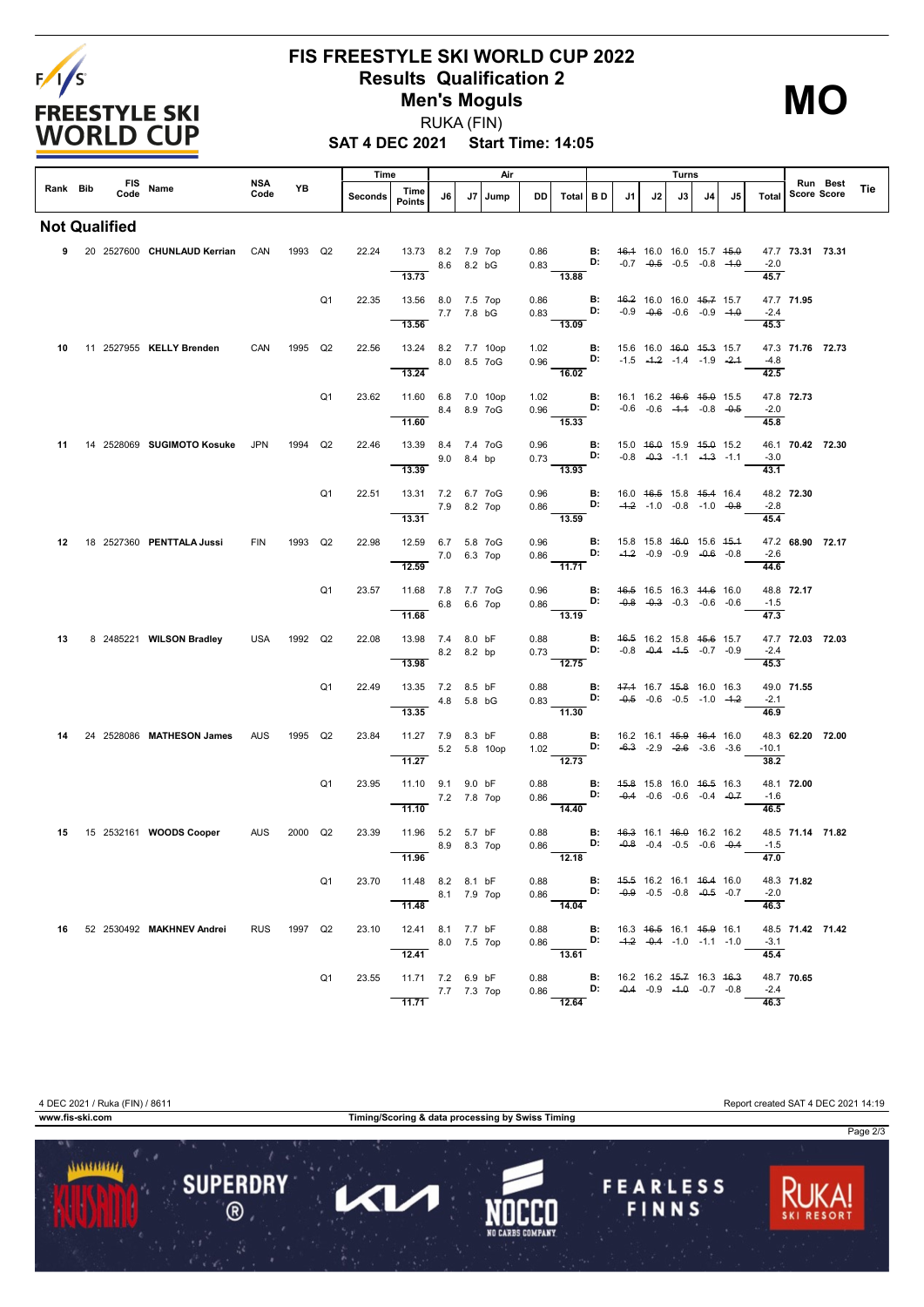

## **FIS FREESTYLE SKI WORLD CUP 2022 Results Qualification 2 Men's Moguls** RUKA (FIN)

**MO**

**SAT 4 DEC 2021 Start Time: 14:05**

|          |                      |                                   | NSA        |             |                | Time    |                                                       |             |            | Air          |              |                                                                                                                                           |                |                                                                                    |    | Turns                                                                                |    |    |                 |                    | Run Best |     |
|----------|----------------------|-----------------------------------|------------|-------------|----------------|---------|-------------------------------------------------------|-------------|------------|--------------|--------------|-------------------------------------------------------------------------------------------------------------------------------------------|----------------|------------------------------------------------------------------------------------|----|--------------------------------------------------------------------------------------|----|----|-----------------|--------------------|----------|-----|
| Rank Bib | Code                 | FIS Name                          | Code       | YB          |                | Seconds | Time<br><b>Points</b>                                 | J6          | J7         | Jump         | DD.          | Total BD                                                                                                                                  |                | J1                                                                                 | J2 | J3                                                                                   | J4 | J5 | Total           | <b>Score Score</b> |          | Tie |
|          | <b>Not Qualified</b> |                                   |            |             |                |         |                                                       |             |            |              |              |                                                                                                                                           |                |                                                                                    |    |                                                                                      |    |    |                 |                    |          |     |
|          |                      | 9 20 2527600 CHUNLAUD Kerrian CAN |            | 1993 Q2     |                | 22.24   | 13.73 8.2 7.9 7op<br>13.73                            |             | 8.6 8.2 bG |              |              | 0.86 <b>B:</b><br>0.83 <b>D:</b><br>$-13.88$                                                                                              |                |                                                                                    |    | 46.4 16.0 16.0 15.7 45.0<br>$-0.7$ $-0.5$ $-0.5$ $-0.8$ $-1.0$                       |    |    | $-2.0$<br>45.7  | 47.7 73.31 73.31   |          |     |
|          |                      |                                   |            |             | Q <sub>1</sub> | 22.35   | 13.56 8.0 7.5 7op<br>7.7 7.8 bG<br>13.56              |             |            |              | 0.86         | 0.83 <b>D:</b> $-0.9$ $-0.6$ $-0.6$ $-0.9$ $-4.0$<br>$-13.09$                                                                             |                | <b>B:</b> 46.2 16.0 16.0 45.7 15.7                                                 |    |                                                                                      |    |    | $-2.4$<br>45.3  | 47.7 71.95         |          |     |
| 10       |                      | 11 2527955 KELLY Brenden          | CAN        | 1995 Q2     |                | 22.56   | 13.24 8.2 7.7 10op<br>8.0 8.5 7 oG<br>13.24           |             |            |              | 1.02         | 0.96 <b>D:</b> $-1.5$ $-4.2$ $-1.4$ $-1.9$ $-2.4$<br>16.02                                                                                |                | <b>B:</b> 15.6 16.0 46.0 45.3 15.7                                                 |    |                                                                                      |    |    | $-4.8$<br>42.5  | 47.3 71.76 72.73   |          |     |
|          |                      |                                   |            |             | Q1             | 23.62   | 11.60 6.8 7.0 10op<br>11.60                           |             |            | 8.4 8.9 7 oG | 1.02         | $0.96$ D:<br>$\frac{11}{15.33}$                                                                                                           | B:             |                                                                                    |    | 16.1 16.2 <del>16.6</del> <del>15.0</del> 15.5<br>$-0.6$ $-0.6$ $-4.4$ $-0.8$ $-0.5$ |    |    | $-2.0$<br>45.8  | 47.8 72.73         |          |     |
| 11       |                      | 14 2528069 SUGIMOTO Kosuke        | JPN        | 1994        | Q2             | 22.46   | 13.39 8.4 7.4 7oG<br>9.0 8.4 bp<br>13.39              |             |            |              |              | 0.96 <b>B:</b> 15.0 $\frac{46.0}{15.9}$ 15.9 $\frac{45.0}{15.2}$<br>$\frac{1}{13.93}$                                                     |                |                                                                                    |    |                                                                                      |    |    | $-3.0$<br>43.1  | 46.1 70.42 72.30   |          |     |
|          |                      |                                   |            |             | Q <sub>1</sub> |         | 22.51  13.31  7.2  6.7  7  0  G<br>13.31              | 7.9 8.2 7op |            |              |              | 0.96 <b>B:</b> 16.0 4 <del>6.5</del> 15.8 4 <del>5.4</del> 16.4<br>0.86 <b>D:</b> $-4.2$ -1.0 -0.8 -1.0 -0. <del>8</del><br>13.59         |                |                                                                                    |    |                                                                                      |    |    | $-2.8$<br>45.4  | 48.2 72.30         |          |     |
|          |                      | 12  18  2527360  PENTTALA Jussi   | FIN        | 1993 Q2     |                | 22.98   | 12.59 6.7 5.8 7oG<br>12.59                            | 7.0 6.3 7op |            |              |              | 0.96 B: 15.8 15.8 46.0 15.6 45.4<br>0.86 <b>D:</b> $-4.2$ -0.9 -0.9 -0.6 -0.8<br>$-11.71$                                                 |                |                                                                                    |    |                                                                                      |    |    | $-2.6$<br>44.6  | 47.2 68.90 72.17   |          |     |
|          |                      |                                   |            |             | Q <sub>1</sub> | 23.57   | 11.68 7.8 7.7 7oG<br>6.8 6.6 7op<br>11.68             |             |            |              | 0.96         | 0.86<br>$-13.19$                                                                                                                          |                | <b>B:</b> 46.5 16.5 16.3 44.6 16.0<br>D: $-0.8$ $-0.3$ $-0.3$ $-0.6$ $-0.6$        |    |                                                                                      |    |    | $-1.5$<br>47.3  | 48.8 72.17         |          |     |
| 13       |                      | 8 2485221 WILSON Bradley          | USA        | 1992 Q2     |                | 22.08   | 13.98 7.4 8.0 bF<br>8.2 8.2 bp<br>13.98               |             |            |              | 0.88         | $0.73 \frac{D}{12.75}$                                                                                                                    | $\mathbf{B}$ : | 46.5 16.2 15.8 45.6 15.7                                                           |    | $-0.8$ $-0.4$ $-4.5$ $-0.7$ $-0.9$                                                   |    |    | $-2.4$<br>45.3  | 47.7 72.03 72.03   |          |     |
|          |                      |                                   |            |             | Q <sub>1</sub> | 22.49   | 13.35 7.2 8.5 bF<br>$-4.8$ 5.8 bG<br>13.35            |             |            |              | 0.88         | 0.83 <b>D:</b> $-0.5$ $-0.6$ $-0.5$ $-1.0$ $-1.2$<br>$\frac{1}{11.30}$                                                                    |                | <b>B:</b> 47.4 16.7 45.8 16.0 16.3                                                 |    |                                                                                      |    |    | $-2.1$<br>46.9  | 49.0 71.55         |          |     |
| 14       |                      | 24 2528086 MATHESON James         | <b>AUS</b> | 1995        | Q2             | 23.84   | 11.27 7.9 8.3 bF<br>11.27                             |             |            | 5.2 5.8 10op |              | 0.88 B: 16.2 16.1 45.9 46.4 16.0<br>$1.02$ D:<br>$\frac{1}{12.73}$                                                                        |                |                                                                                    |    | $-6.3$ $-2.9$ $-2.6$ $-3.6$ $-3.6$                                                   |    |    | $-10.1$<br>38.2 | 48.3 62.20 72.00   |          |     |
|          |                      |                                   |            |             | Q <sub>1</sub> | 23.95   | 11.10 9.1 9.0 bF<br>11.10                             | 7.2 7.8 7op |            |              | 0.88<br>0.86 | D:<br>$-14.40$                                                                                                                            |                | <b>B:</b> 45.8 15.8 16.0 46.5 16.3                                                 |    | $-0.4$ $-0.6$ $-0.6$ $-0.4$ $-0.7$                                                   |    |    | $-1.6$<br>46.5  | 48.1 72.00         |          |     |
|          |                      | 15 15 2532161 WOODS Cooper        | AUS        | 2000 Q2     |                | 23.39   | 11.96 5.2 5.7 bF<br>8.9 8.3 7op<br>11.96              |             |            |              | 0.88         | 0.86<br>12.18                                                                                                                             |                | <b>B:</b> 46.3 16.1 46.0 16.2 16.2<br><b>D:</b> $-0.8$ $-0.4$ $-0.5$ $-0.6$ $-0.4$ |    |                                                                                      |    |    | $-1.5$<br>47.0  | 48.5 71.14 71.82   |          |     |
|          |                      |                                   |            |             | Q1             | 23.70   | 11.48 8.2 8.1 bF<br>8.1 7.9 7op<br>11.48              |             |            |              |              | 0.88 <b>B</b> : 45.5 16.2 16.1 46.4 16.0<br>0.86 <b>D</b> : -0.9 -0.5 -0.8 -0.5 -0.7                                                      |                |                                                                                    |    |                                                                                      |    |    | $-2.0$<br>46.3  | 48.3 71.82         |          |     |
|          |                      | 16 52 2530492 MAKHNEV Andrei      |            | RUS 1997 Q2 |                | 23.10   | 12.41 8.1 7.7 bF<br>8.0 7.5 7op<br>$\overline{12.41}$ |             |            |              |              | 0.88 <b>B:</b> 16.3 <del>16.5</del> 16.1 <del>15.9</del> 16.1<br>0.86 <b>D:</b> - <del>1.2</del> -0.4 -1.0 -1.1 -1.0<br>$\frac{1}{13.61}$ |                |                                                                                    |    |                                                                                      |    |    | $-3.1$<br>45.4  | 48.5 71.42 71.42   |          |     |
|          |                      |                                   |            |             | Q1             | 23.55   | 11.71 7.2 6.9 bF<br>7.7 7.3 7op<br>11.71              |             |            |              |              | 0.88 <b>B:</b> 16.2 16.2 <del>15.7</del> 16.3 <del>16.3</del><br>0.86 <b>D:</b> -0.4 -0.9 -1.0 -0.7 -0.8<br>12.64                         |                |                                                                                    |    |                                                                                      |    |    | $-2.4$<br>46.3  | 48.7 70.65         |          |     |



4 DEC 2021 / Ruka (FIN) / 8611 Report created SAT 4 DEC 2021 14:19